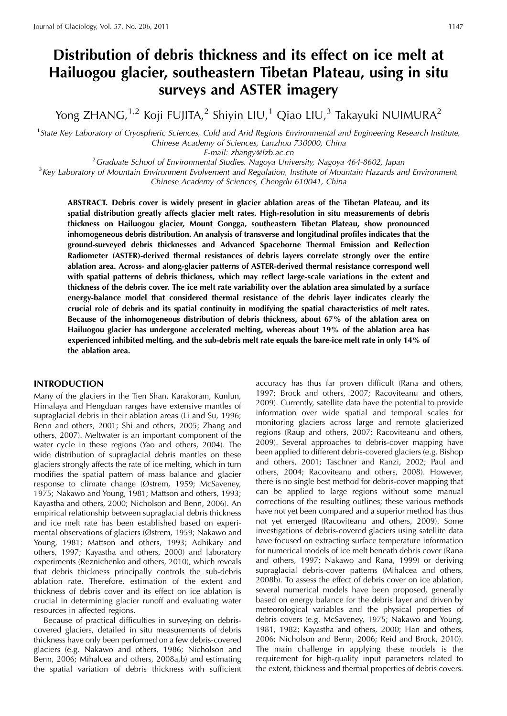# **Distribution of debris thickness and its effect on ice melt at Hailuogou glacier, southeastern Tibetan Plateau, using in situ surveys and ASTER imagery**

Yong ZHANG,<sup>1,2</sup> Koji FUJITA,<sup>2</sup> Shiyin LIU,<sup>1</sup> Qiao LIU,<sup>3</sup> Takayuki NUIMURA<sup>2</sup>

<sup>1</sup> State Key Laboratory of Cryospheric Sciences, Cold and Arid Regions Environmental and Engineering Research Institute, Chinese Academy of Sciences, Lanzhou 730000, China

E-mail: zhangy@lzb.ac.cn<br><sup>2</sup>Craduate School of Environmental Studies, Nagova Univ  $^3$ Key Laboratory of Mountain Environmental Studies, Nagoya University, Nagoya 464-8602, Japan  $^3$ Key Laboratory of Mountain Environment Evolvement and Regulation. Institute of Mountain Hazards are

 $K<sup>3</sup>$ Key Laboratory of Mountain Environment Evolvement and Regulation, Institute of Mountain Hazards and Environment, Chinese Academy of Sciences, Chengdu 610041, China

**ABSTRACT. Debris cover is widely present in glacier ablation areas of the Tibetan Plateau, and its spatial distribution greatly affects glacier melt rates. High-resolution in situ measurements of debris thickness on Hailuogou glacier, Mount Gongga, southeastern Tibetan Plateau, show pronounced inhomogeneous debris distribution. An analysis of transverse and longitudinal profiles indicates that the ground-surveyed debris thicknesses and Advanced Spaceborne Thermal Emission and Reflection Radiometer (ASTER)-derived thermal resistances of debris layers correlate strongly over the entire ablation area. Across- and along-glacier patterns of ASTER-derived thermal resistance correspond well with spatial patterns of debris thickness, which may reflect large-scale variations in the extent and thickness of the debris cover. The ice melt rate variability over the ablation area simulated by a surface energy-balance model that considered thermal resistance of the debris layer indicates clearly the crucial role of debris and its spatial continuity in modifying the spatial characteristics of melt rates. Because of the inhomogeneous distribution of debris thickness, about 67% of the ablation area on Hailuogou glacier has undergone accelerated melting, whereas about 19% of the ablation area has experienced inhibited melting, and the sub-debris melt rate equals the bare-ice melt rate in only 14% of the ablation area.**

# **INTRODUCTION**

Many of the glaciers in the Tien Shan, Karakoram, Kunlun, Himalaya and Hengduan ranges have extensive mantles of supraglacial debris in their ablation areas (Li and Su, 1996; Benn and others, 2001; Shi and others, 2005; Zhang and others, 2007). Meltwater is an important component of the water cycle in these regions (Yao and others, 2004). The wide distribution of supraglacial debris mantles on these glaciers strongly affects the rate of ice melting, which in turn modifies the spatial pattern of mass balance and glacier response to climate change (Østrem, 1959; McSaveney, 1975; Nakawo and Young, 1981; Mattson and others, 1993; Kayastha and others, 2000; Nicholson and Benn, 2006). An empirical relationship between supraglacial debris thickness and ice melt rate has been established based on experimental observations of glaciers (Østrem, 1959; Nakawo and Young, 1981; Mattson and others, 1993; Adhikary and others, 1997; Kayastha and others, 2000) and laboratory experiments (Reznichenko and others, 2010), which reveals that debris thickness principally controls the sub-debris ablation rate. Therefore, estimation of the extent and thickness of debris cover and its effect on ice ablation is crucial in determining glacier runoff and evaluating water resources in affected regions.

Because of practical difficulties in surveying on debriscovered glaciers, detailed in situ measurements of debris thickness have only been performed on a few debris-covered glaciers (e.g. Nakawo and others, 1986; Nicholson and Benn, 2006; Mihalcea and others, 2008a,b) and estimating the spatial variation of debris thickness with sufficient accuracy has thus far proven difficult (Rana and others, 1997; Brock and others, 2007; Racoviteanu and others, 2009). Currently, satellite data have the potential to provide information over wide spatial and temporal scales for monitoring glaciers across large and remote glacierized regions (Raup and others, 2007; Racoviteanu and others, 2009). Several approaches to debris-cover mapping have been applied to different debris-covered glaciers (e.g. Bishop and others, 2001; Taschner and Ranzi, 2002; Paul and others, 2004; Racoviteanu and others, 2008). However, there is no single best method for debris-cover mapping that can be applied to large regions without some manual corrections of the resulting outlines; these various methods have not yet been compared and a superior method has thus not yet emerged (Racoviteanu and others, 2009). Some investigations of debris-covered glaciers using satellite data have focused on extracting surface temperature information for numerical models of ice melt beneath debris cover (Rana and others, 1997; Nakawo and Rana, 1999) or deriving supraglacial debris-cover patterns (Mihalcea and others, 2008b). To assess the effect of debris cover on ice ablation, several numerical models have been proposed, generally based on energy balance for the debris layer and driven by meteorological variables and the physical properties of debris covers (e.g. McSaveney, 1975; Nakawo and Young, 1981, 1982; Kayastha and others, 2000; Han and others, 2006; Nicholson and Benn, 2006; Reid and Brock, 2010). The main challenge in applying these models is the requirement for high-quality input parameters related to the extent, thickness and thermal properties of debris covers.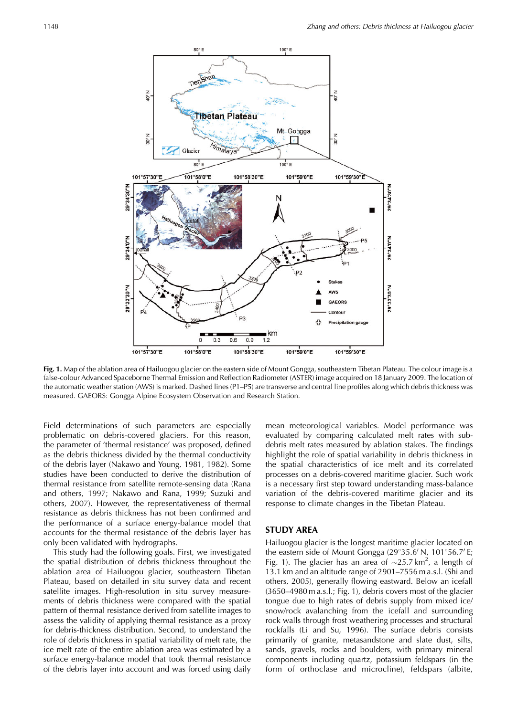

**Fig. 1.** Map of the ablation area of Hailuogou glacier on the eastern side of Mount Gongga, southeastern Tibetan Plateau. The colour image is a false-colour Advanced Spaceborne Thermal Emission and Reflection Radiometer (ASTER) image acquired on 18 January 2009. The location of the automatic weather station (AWS) is marked. Dashed lines (P1–P5) are transverse and central line profiles along which debris thickness was measured. GAEORS: Gongga Alpine Ecosystem Observation and Research Station.

Field determinations of such parameters are especially problematic on debris-covered glaciers. For this reason, the parameter of 'thermal resistance' was proposed, defined as the debris thickness divided by the thermal conductivity of the debris layer (Nakawo and Young, 1981, 1982). Some studies have been conducted to derive the distribution of thermal resistance from satellite remote-sensing data (Rana and others, 1997; Nakawo and Rana, 1999; Suzuki and others, 2007). However, the representativeness of thermal resistance as debris thickness has not been confirmed and the performance of a surface energy-balance model that accounts for the thermal resistance of the debris layer has only been validated with hydrographs.

This study had the following goals. First, we investigated the spatial distribution of debris thickness throughout the ablation area of Hailuogou glacier, southeastern Tibetan Plateau, based on detailed in situ survey data and recent satellite images. High-resolution in situ survey measurements of debris thickness were compared with the spatial pattern of thermal resistance derived from satellite images to assess the validity of applying thermal resistance as a proxy for debris-thickness distribution. Second, to understand the role of debris thickness in spatial variability of melt rate, the ice melt rate of the entire ablation area was estimated by a surface energy-balance model that took thermal resistance of the debris layer into account and was forced using daily

mean meteorological variables. Model performance was evaluated by comparing calculated melt rates with subdebris melt rates measured by ablation stakes. The findings highlight the role of spatial variability in debris thickness in the spatial characteristics of ice melt and its correlated processes on a debris-covered maritime glacier. Such work is a necessary first step toward understanding mass-balance variation of the debris-covered maritime glacier and its response to climate changes in the Tibetan Plateau.

## **STUDY AREA**

Hailuogou glacier is the longest maritime glacier located on the eastern side of Mount Gongga (29°35.6' N, 101°56.7' E; Fig. 1). The glacier has an area of  $\sim$ 25.7 km<sup>2</sup>, a length of 13.1 km and an altitude range of 2901–7556 m a.s.l. (Shi and others, 2005), generally flowing eastward. Below an icefall (3650–4980 m a.s.l.; Fig. 1), debris covers most of the glacier tongue due to high rates of debris supply from mixed ice/ snow/rock avalanching from the icefall and surrounding rock walls through frost weathering processes and structural rockfalls (Li and Su, 1996). The surface debris consists primarily of granite, metasandstone and slate dust, silts, sands, gravels, rocks and boulders, with primary mineral components including quartz, potassium feldspars (in the form of orthoclase and microcline), feldspars (albite,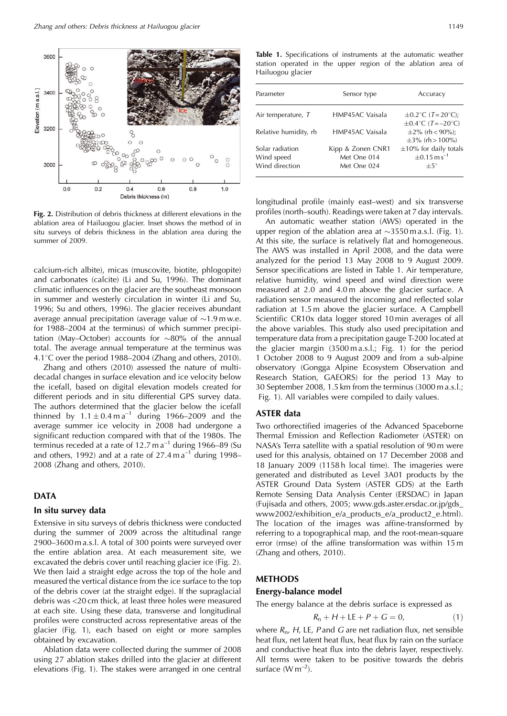

**Fig. 2.** Distribution of debris thickness at different elevations in the ablation area of Hailuogou glacier. Inset shows the method of in situ surveys of debris thickness in the ablation area during the summer of 2009.

calcium-rich albite), micas (muscovite, biotite, phlogopite) and carbonates (calcite) (Li and Su, 1996). The dominant climatic influences on the glacier are the southeast monsoon in summer and westerly circulation in winter (Li and Su, 1996; Su and others, 1996). The glacier receives abundant average annual precipitation (average value of  $\sim$ 1.9 m w.e. for 1988–2004 at the terminus) of which summer precipitation (May–October) accounts for  $\sim$ 80% of the annual total. The average annual temperature at the terminus was 4.1 $\degree$ C over the period 1988–2004 (Zhang and others, 2010).

Zhang and others (2010) assessed the nature of multidecadal changes in surface elevation and ice velocity below the icefall, based on digital elevation models created for different periods and in situ differential GPS survey data. The authors determined that the glacier below the icefall thinned by  $1.1 \pm 0.4 \text{ m a}^{-1}$  during 1966–2009 and the average summer ice velocity in 2008 had undergone a significant reduction compared with that of the 1980s. The terminus receded at a rate of 12.7 m  $a^{-1}$  during 1966–89 (Su and others, 1992) and at a rate of  $27.4$  m a<sup>-1</sup> during 1998– 2008 (Zhang and others, 2010).

# **DATA**

### **In situ survey data**

Extensive in situ surveys of debris thickness were conducted during the summer of 2009 across the altitudinal range 2900–3600 m a.s.l. A total of 300 points were surveyed over the entire ablation area. At each measurement site, we excavated the debris cover until reaching glacier ice (Fig. 2). We then laid a straight edge across the top of the hole and measured the vertical distance from the ice surface to the top of the debris cover (at the straight edge). If the supraglacial debris was <20 cm thick, at least three holes were measured at each site. Using these data, transverse and longitudinal profiles were constructed across representative areas of the glacier (Fig. 1), each based on eight or more samples obtained by excavation.

Ablation data were collected during the summer of 2008 using 27 ablation stakes drilled into the glacier at different elevations (Fig. 1). The stakes were arranged in one central

**Table 1.** Specifications of instruments at the automatic weather station operated in the upper region of the ablation area of Hailuogou glacier

| Parameter                                       | Sensor type                                     | Accuracy                                                                  |  |
|-------------------------------------------------|-------------------------------------------------|---------------------------------------------------------------------------|--|
| Air temperature, T                              | HMP45AC Vaisala                                 | $\pm 0.2$ °C (T=20°C);<br>$\pm 0.4^{\circ}$ C (T=-20°C)                   |  |
| Relative humidity, rh                           | HMP45AC Vaisala                                 | $\pm 2\%$ (rh < 90%);<br>$\pm 3\%$ (rh > 100%)                            |  |
| Solar radiation<br>Wind speed<br>Wind direction | Kipp & Zonen CNR1<br>Met One 014<br>Met One 024 | $\pm 10\%$ for daily totals<br>$\pm 0.15$ m s <sup>-1</sup><br>$+5^\circ$ |  |
|                                                 |                                                 |                                                                           |  |

longitudinal profile (mainly east–west) and six transverse profiles (north–south). Readings were taken at 7 day intervals.

An automatic weather station (AWS) operated in the upper region of the ablation area at  $\sim$ 3550 m a.s.l. (Fig. 1). At this site, the surface is relatively flat and homogeneous. The AWS was installed in April 2008, and the data were analyzed for the period 13 May 2008 to 9 August 2009. Sensor specifications are listed in Table 1. Air temperature, relative humidity, wind speed and wind direction were measured at 2.0 and 4.0 m above the glacier surface. A radiation sensor measured the incoming and reflected solar radiation at 1.5 m above the glacier surface. A Campbell Scientific CR10x data logger stored 10 min averages of all the above variables. This study also used precipitation and temperature data from a precipitation gauge T-200 located at the glacier margin (3500 m a.s.l.; Fig. 1) for the period 1 October 2008 to 9 August 2009 and from a sub-alpine observatory (Gongga Alpine Ecosystem Observation and Research Station, GAEORS) for the period 13 May to 30 September 2008, 1.5 km from the terminus (3000 m a.s.l.; Fig. 1). All variables were compiled to daily values.

#### **ASTER data**

Two orthorectified imageries of the Advanced Spaceborne Thermal Emission and Reflection Radiometer (ASTER) on NASA's Terra satellite with a spatial resolution of 90 m were used for this analysis, obtained on 17 December 2008 and 18 January 2009 (1158 h local time). The imageries were generated and distributed as Level 3A01 products by the ASTER Ground Data System (ASTER GDS) at the Earth Remote Sensing Data Analysis Center (ERSDAC) in Japan (Fujisada and others, 2005; www.gds.aster.ersdac.or.jp/gds\_ www2002/exhibition\_e/a\_products\_e/a\_product2\_e.html). The location of the images was affine-transformed by referring to a topographical map, and the root-mean-square error (rmse) of the affine transformation was within 15 m (Zhang and others, 2010).

#### **METHODS**

#### **Energy-balance model**

The energy balance at the debris surface is expressed as

$$
R_n + H + \text{LE} + P + G = 0,\tag{1}
$$

where  $R_{n}$ , H, LE, P and G are net radiation flux, net sensible heat flux, net latent heat flux, heat flux by rain on the surface and conductive heat flux into the debris layer, respectively. All terms were taken to be positive towards the debris surface  $(W m^{-2})$ .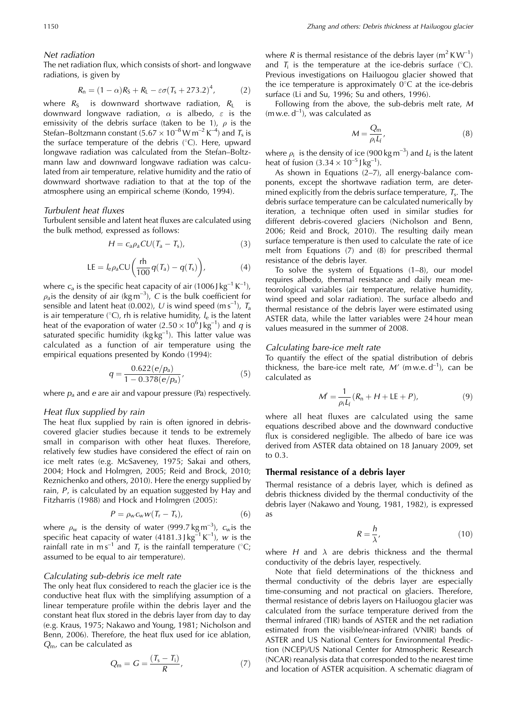# Net radiation

The net radiation flux, which consists of short- and longwave radiations, is given by

$$
R_n = (1 - \alpha)R_S + R_L - \varepsilon \sigma (T_s + 273.2)^4, \tag{2}
$$

where  $R<sub>S</sub>$  is downward shortwave radiation,  $R<sub>L</sub>$  is downward longwave radiation,  $\alpha$  is albedo,  $\varepsilon$  is the emissivity of the debris surface (taken to be 1),  $\rho$  is the Stefan–Boltzmann constant (5.67  $\times$  10<sup>-8</sup> W m<sup>-2</sup> K<sup>-4</sup>) and T<sub>s</sub> is the surface temperature of the debris  $(°C)$ . Here, upward longwave radiation was calculated from the Stefan–Boltzmann law and downward longwave radiation was calculated from air temperature, relative humidity and the ratio of downward shortwave radiation to that at the top of the atmosphere using an empirical scheme (Kondo, 1994).

## Turbulent heat fluxes

Turbulent sensible and latent heat fluxes are calculated using the bulk method, expressed as follows:

$$
H = c_a \rho_a C U (T_a - T_s), \tag{3}
$$

$$
LE = I_{\rm e}\rho_{\rm a}CU\bigg(\frac{\text{rh}}{100}q(T_{\rm a})-q(T_{\rm s})\bigg),\tag{4}
$$

where  $c_a$  is the specific heat capacity of air (1006 J kg<sup>-1</sup> K<sup>-1</sup>),  $\rho_a$  is the density of air (kg m<sup>-3</sup>), C is the bulk coefficient for sensible and latent heat (0.002), U is wind speed (m s<sup>-1</sup>),  $T_a$ is air temperature ( $\degree$ C), rh is relative humidity,  $l_e$  is the latent heat of the evaporation of water  $(2.50 \times 10^6)$  kg<sup>-1</sup>) and q is saturated specific humidity ( $kg \log^{-1}$ ). This latter value was calculated as a function of air temperature using the empirical equations presented by Kondo (1994):

$$
q = \frac{0.622(e/p_a)}{1 - 0.378(e/p_a)},
$$
\n(5)

where  $p_a$  and e are air and vapour pressure (Pa) respectively.

#### Heat flux supplied by rain

The heat flux supplied by rain is often ignored in debriscovered glacier studies because it tends to be extremely small in comparison with other heat fluxes. Therefore, relatively few studies have considered the effect of rain on ice melt rates (e.g. McSaveney, 1975; Sakai and others, 2004; Hock and Holmgren, 2005; Reid and Brock, 2010; Reznichenko and others, 2010). Here the energy supplied by rain, P, is calculated by an equation suggested by Hay and Fitzharris (1988) and Hock and Holmgren (2005):

$$
P = \rho_{\rm w} c_{\rm w} w (T_{\rm r} - T_{\rm s}), \tag{6}
$$

where  $\rho_w$  is the density of water (999.7 kg m<sup>-3</sup>),  $c_w$  is the specific heat capacity of water  $(4181.3) \text{ kg}^{-1} \text{K}^{-1}$ ), w is the rainfall rate in m s<sup>-1</sup> and  $T_r$  is the rainfall temperature (°C; assumed to be equal to air temperature).

### Calculating sub-debris ice melt rate

The only heat flux considered to reach the glacier ice is the conductive heat flux with the simplifying assumption of a linear temperature profile within the debris layer and the constant heat flux stored in the debris layer from day to day (e.g. Kraus, 1975; Nakawo and Young, 1981; Nicholson and Benn, 2006). Therefore, the heat flux used for ice ablation,  $Q<sub>m</sub>$ , can be calculated as

$$
Q_{\rm m} = G = \frac{(T_{\rm s} - T_{\rm i})}{R},\tag{7}
$$

where R is thermal resistance of the debris layer ( $m^2$  K W<sup>-1</sup>) and  $T_i$  is the temperature at the ice-debris surface (°C). Previous investigations on Hailuogou glacier showed that the ice temperature is approximately  $0^{\circ}$ C at the ice-debris surface (Li and Su, 1996; Su and others, 1996).

Following from the above, the sub-debris melt rate, M  $(m w.e. d^{-1})$ , was calculated as

$$
M = \frac{Q_{\rm m}}{\rho_{\rm i} L_{\rm f}},\tag{8}
$$

where  $\rho_i$  is the density of ice (900 kg m<sup>-3</sup>) and  $L_f$  is the latent heat of fusion  $(3.34 \times 10^{-5} \text{ J kg}^{-1})$ .

As shown in Equations  $(2–7)$ , all energy-balance components, except the shortwave radiation term, are determined explicitly from the debris surface temperature,  $T_s$ . The debris surface temperature can be calculated numerically by iteration, a technique often used in similar studies for different debris-covered glaciers (Nicholson and Benn, 2006; Reid and Brock, 2010). The resulting daily mean surface temperature is then used to calculate the rate of ice melt from Equations (7) and (8) for prescribed thermal resistance of the debris layer.

To solve the system of Equations (1–8), our model requires albedo, thermal resistance and daily mean meteorological variables (air temperature, relative humidity, wind speed and solar radiation). The surface albedo and thermal resistance of the debris layer were estimated using ASTER data, while the latter variables were 24 hour mean values measured in the summer of 2008.

#### Calculating bare-ice melt rate

To quantify the effect of the spatial distribution of debris thickness, the bare-ice melt rate,  $M'$  (m w.e.  $d^{-1}$ ), can be calculated as

$$
M' = \frac{1}{\rho_i L_f} (R_n + H + \text{LE} + P), \tag{9}
$$

where all heat fluxes are calculated using the same equations described above and the downward conductive flux is considered negligible. The albedo of bare ice was derived from ASTER data obtained on 18 January 2009, set to 0.3.

#### **Thermal resistance of a debris layer**

Thermal resistance of a debris layer, which is defined as debris thickness divided by the thermal conductivity of the debris layer (Nakawo and Young, 1981, 1982), is expressed as

$$
R = \frac{h}{\lambda},\tag{10}
$$

where H and  $\lambda$  are debris thickness and the thermal conductivity of the debris layer, respectively.

Note that field determinations of the thickness and thermal conductivity of the debris layer are especially time-consuming and not practical on glaciers. Therefore, thermal resistance of debris layers on Hailuogou glacier was calculated from the surface temperature derived from the thermal infrared (TIR) bands of ASTER and the net radiation estimated from the visible/near-infrared (VNIR) bands of ASTER and US National Centers for Environmental Prediction (NCEP)/US National Center for Atmospheric Research (NCAR) reanalysis data that corresponded to the nearest time and location of ASTER acquisition. A schematic diagram of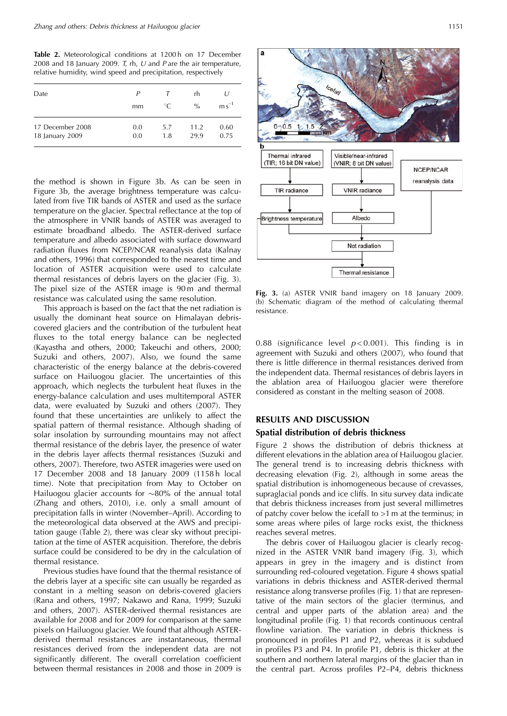Table 2. Meteorological conditions at 1200h on 17 December 2008 and 18 January 2009. T, rh, U and P are the air temperature, relative humidity, wind speed and precipitation, respectively

| Date             | Р   |                         | rh            | $\iota$           |
|------------------|-----|-------------------------|---------------|-------------------|
|                  | mm  | $\ ^{\circ}\mathcal{C}$ | $\frac{0}{0}$ | $\text{m s}^{-1}$ |
| 17 December 2008 | 0.0 | 5.7                     | 11.2          | 0.60              |
| 18 January 2009  | 0.0 | 1.8                     | 29.9          | 0.75              |

the method is shown in Figure 3b. As can be seen in Figure 3b, the average brightness temperature was calculated from five TIR bands of ASTER and used as the surface temperature on the glacier. Spectral reflectance at the top of the atmosphere in VNIR bands of ASTER was averaged to estimate broadband albedo. The ASTER-derived surface temperature and albedo associated with surface downward radiation fluxes from NCEP/NCAR reanalysis data (Kalnay and others, 1996) that corresponded to the nearest time and location of ASTER acquisition were used to calculate thermal resistances of debris layers on the glacier (Fig. 3). The pixel size of the ASTER image is 90 m and thermal resistance was calculated using the same resolution.

This approach is based on the fact that the net radiation is usually the dominant heat source on Himalayan debriscovered glaciers and the contribution of the turbulent heat fluxes to the total energy balance can be neglected (Kayastha and others, 2000; Takeuchi and others, 2000; Suzuki and others, 2007). Also, we found the same characteristic of the energy balance at the debris-covered surface on Hailuogou glacier. The uncertainties of this approach, which neglects the turbulent heat fluxes in the energy-balance calculation and uses multitemporal ASTER data, were evaluated by Suzuki and others (2007). They found that these uncertainties are unlikely to affect the spatial pattern of thermal resistance. Although shading of solar insolation by surrounding mountains may not affect thermal resistance of the debris layer, the presence of water in the debris layer affects thermal resistances (Suzuki and others, 2007). Therefore, two ASTER imageries were used on 17 December 2008 and 18 January 2009 (1158 h local time). Note that precipitation from May to October on Hailuogou glacier accounts for  $\sim$ 80% of the annual total (Zhang and others, 2010), i.e. only a small amount of precipitation falls in winter (November–April). According to the meteorological data observed at the AWS and precipitation gauge (Table 2), there was clear sky without precipitation at the time of ASTER acquisition. Therefore, the debris surface could be considered to be dry in the calculation of thermal resistance.

Previous studies have found that the thermal resistance of the debris layer at a specific site can usually be regarded as constant in a melting season on debris-covered glaciers (Rana and others, 1997; Nakawo and Rana, 1999; Suzuki and others, 2007). ASTER-derived thermal resistances are available for 2008 and for 2009 for comparison at the same pixels on Hailuogou glacier. We found that although ASTERderived thermal resistances are instantaneous, thermal resistances derived from the independent data are not significantly different. The overall correlation coefficient between thermal resistances in 2008 and those in 2009 is



**Fig. 3.** (a) ASTER VNIR band imagery on 18 January 2009. (b) Schematic diagram of the method of calculating thermal resistance.

0.88 (significance level  $p < 0.001$ ). This finding is in agreement with Suzuki and others (2007), who found that there is little difference in thermal resistances derived from the independent data. Thermal resistances of debris layers in the ablation area of Hailuogou glacier were therefore considered as constant in the melting season of 2008.

# **RESULTS AND DISCUSSION**

## **Spatial distribution of debris thickness**

Figure 2 shows the distribution of debris thickness at different elevations in the ablation area of Hailuogou glacier. The general trend is to increasing debris thickness with decreasing elevation (Fig. 2), although in some areas the spatial distribution is inhomogeneous because of crevasses, supraglacial ponds and ice cliffs. In situ survey data indicate that debris thickness increases from just several millimetres of patchy cover below the icefall to >1 m at the terminus; in some areas where piles of large rocks exist, the thickness reaches several metres.

The debris cover of Hailuogou glacier is clearly recognized in the ASTER VNIR band imagery (Fig. 3), which appears in grey in the imagery and is distinct from surrounding red-coloured vegetation. Figure 4 shows spatial variations in debris thickness and ASTER-derived thermal resistance along transverse profiles (Fig. 1) that are representative of the main sectors of the glacier (terminus, and central and upper parts of the ablation area) and the longitudinal profile (Fig. 1) that records continuous central flowline variation. The variation in debris thickness is pronounced in profiles P1 and P2, whereas it is subdued in profiles P3 and P4. In profile P1, debris is thicker at the southern and northern lateral margins of the glacier than in the central part. Across profiles P2–P4, debris thickness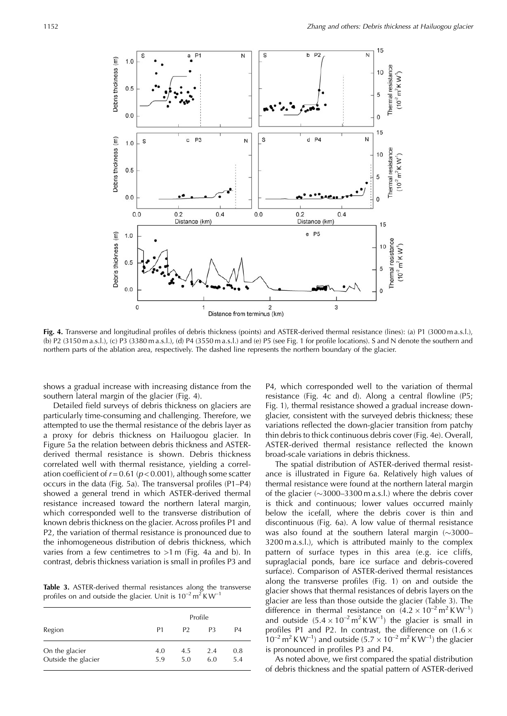

**Fig. 4.** Transverse and longitudinal profiles of debris thickness (points) and ASTER-derived thermal resistance (lines): (a) P1 (3000 m a.s.l.), (b) P2 (3150 m a.s.l.), (c) P3 (3380 m a.s.l.), (d) P4 (3550 m a.s.l.) and (e) P5 (see Fig. 1 for profile locations). S and N denote the southern and northern parts of the ablation area, respectively. The dashed line represents the northern boundary of the glacier.

shows a gradual increase with increasing distance from the southern lateral margin of the glacier (Fig. 4).

Detailed field surveys of debris thickness on glaciers are particularly time-consuming and challenging. Therefore, we attempted to use the thermal resistance of the debris layer as a proxy for debris thickness on Hailuogou glacier. In Figure 5a the relation between debris thickness and ASTERderived thermal resistance is shown. Debris thickness correlated well with thermal resistance, yielding a correlation coefficient of  $r = 0.61 (p < 0.001)$ , although some scatter occurs in the data (Fig. 5a). The transversal profiles (P1–P4) showed a general trend in which ASTER-derived thermal resistance increased toward the northern lateral margin, which corresponded well to the transverse distribution of known debris thickness on the glacier. Across profiles P1 and P2, the variation of thermal resistance is pronounced due to the inhomogeneous distribution of debris thickness, which varies from a few centimetres to >1 m (Fig. 4a and b). In contrast, debris thickness variation is small in profiles P3 and

**Table 3.** ASTER-derived thermal resistances along the transverse profiles on and outside the glacier. Unit is  $10^{-2}$  m<sup>2</sup> KW<sup>-1</sup>

|                                       | Profile        |                |            |            |
|---------------------------------------|----------------|----------------|------------|------------|
| Region                                | P <sub>1</sub> | P <sub>2</sub> | P3         | P4         |
| On the glacier<br>Outside the glacier | 4.0<br>5.9     | 4.5<br>5.0     | 2.4<br>6.0 | 0.8<br>5.4 |

P4, which corresponded well to the variation of thermal resistance (Fig. 4c and d). Along a central flowline (P5; Fig. 1), thermal resistance showed a gradual increase downglacier, consistent with the surveyed debris thickness; these variations reflected the down-glacier transition from patchy thin debris to thick continuous debris cover (Fig. 4e). Overall, ASTER-derived thermal resistance reflected the known broad-scale variations in debris thickness.

The spatial distribution of ASTER-derived thermal resistance is illustrated in Figure 6a. Relatively high values of thermal resistance were found at the northern lateral margin of the glacier  $(\sim]3000-3300 \text{ m a.s.}$  where the debris cover is thick and continuous; lower values occurred mainly below the icefall, where the debris cover is thin and discontinuous (Fig. 6a). A low value of thermal resistance was also found at the southern lateral margin  $(\sim]3000-$ 3200 m a.s.l.), which is attributed mainly to the complex pattern of surface types in this area (e.g. ice cliffs, supraglacial ponds, bare ice surface and debris-covered surface). Comparison of ASTER-derived thermal resistances along the transverse profiles (Fig. 1) on and outside the glacier shows that thermal resistances of debris layers on the glacier are less than those outside the glacier (Table 3). The difference in thermal resistance on  $(4.2 \times 10^{-2} \text{ m}^2 \text{ K W}^{-1})$ and outside  $(5.4 \times 10^{-2} \text{ m}^2 \text{ K W}^{-1})$  the glacier is small in profiles P1 and P2. In contrast, the difference on  $(1.6 \times$  $10^{-2}$  m<sup>2</sup> KW<sup>-1</sup>) and outside (5.7  $\times$  10<sup>-2</sup> m<sup>2</sup> KW<sup>-1</sup>) the glacier is pronounced in profiles P3 and P4.

As noted above, we first compared the spatial distribution of debris thickness and the spatial pattern of ASTER-derived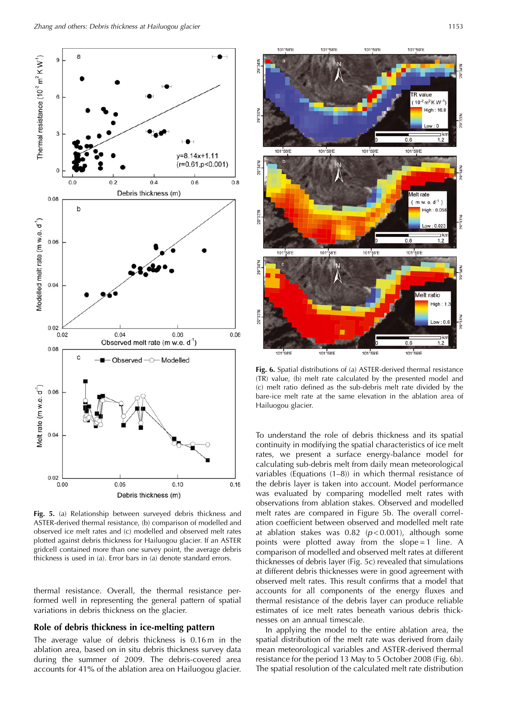

**Fig. 5.** (a) Relationship between surveyed debris thickness and ASTER-derived thermal resistance, (b) comparison of modelled and observed ice melt rates and (c) modelled and observed melt rates plotted against debris thickness for Hailuogou glacier. If an ASTER gridcell contained more than one survey point, the average debris thickness is used in (a). Error bars in (a) denote standard errors.

thermal resistance. Overall, the thermal resistance performed well in representing the general pattern of spatial variations in debris thickness on the glacier.

## **Role of debris thickness in ice-melting pattern**

The average value of debris thickness is 0.16 m in the ablation area, based on in situ debris thickness survey data during the summer of 2009. The debris-covered area accounts for 41% of the ablation area on Hailuogou glacier.



**Fig. 6.** Spatial distributions of (a) ASTER-derived thermal resistance (TR) value, (b) melt rate calculated by the presented model and (c) melt ratio defined as the sub-debris melt rate divided by the bare-ice melt rate at the same elevation in the ablation area of Hailuogou glacier.

To understand the role of debris thickness and its spatial continuity in modifying the spatial characteristics of ice melt rates, we present a surface energy-balance model for calculating sub-debris melt from daily mean meteorological variables (Equations (1–8)) in which thermal resistance of the debris layer is taken into account. Model performance was evaluated by comparing modelled melt rates with observations from ablation stakes. Observed and modelled melt rates are compared in Figure 5b. The overall correlation coefficient between observed and modelled melt rate at ablation stakes was  $0.82$  ( $p < 0.001$ ), although some points were plotted away from the slope = 1 line. A comparison of modelled and observed melt rates at different thicknesses of debris layer (Fig. 5c) revealed that simulations at different debris thicknesses were in good agreement with observed melt rates. This result confirms that a model that accounts for all components of the energy fluxes and thermal resistance of the debris layer can produce reliable estimates of ice melt rates beneath various debris thicknesses on an annual timescale.

In applying the model to the entire ablation area, the spatial distribution of the melt rate was derived from daily mean meteorological variables and ASTER-derived thermal resistance for the period 13 May to 5 October 2008 (Fig. 6b). The spatial resolution of the calculated melt rate distribution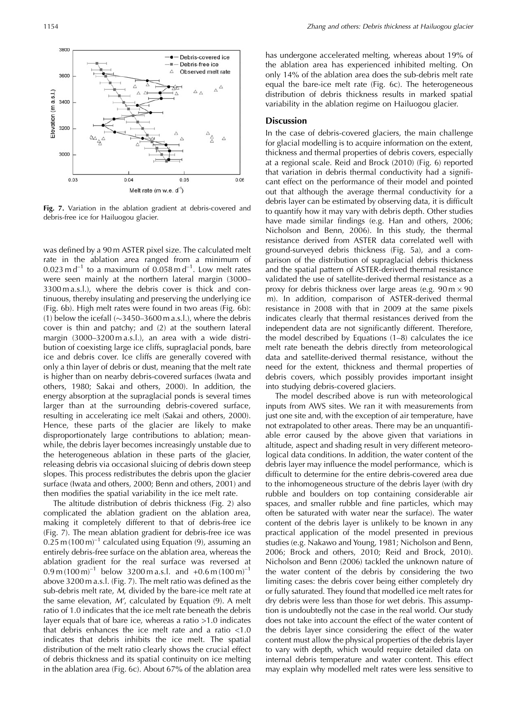

**Fig. 7.** Variation in the ablation gradient at debris-covered and debris-free ice for Hailuogou glacier.

was defined by a 90 m ASTER pixel size. The calculated melt rate in the ablation area ranged from a minimum of  $0.023$  m d<sup>-1</sup> to a maximum of  $0.058$  m d<sup>-1</sup>. Low melt rates were seen mainly at the northern lateral margin (3000– 3300 m a.s.l.), where the debris cover is thick and continuous, thereby insulating and preserving the underlying ice (Fig. 6b). High melt rates were found in two areas (Fig. 6b):  $(1)$  below the icefall  $(\sim]3450-3600$  m a.s.l.), where the debris cover is thin and patchy; and (2) at the southern lateral margin (3000–3200 m a.s.l.), an area with a wide distribution of coexisting large ice cliffs, supraglacial ponds, bare ice and debris cover. Ice cliffs are generally covered with only a thin layer of debris or dust, meaning that the melt rate is higher than on nearby debris-covered surfaces (Iwata and others, 1980; Sakai and others, 2000). In addition, the energy absorption at the supraglacial ponds is several times larger than at the surrounding debris-covered surface, resulting in accelerating ice melt (Sakai and others, 2000). Hence, these parts of the glacier are likely to make disproportionately large contributions to ablation; meanwhile, the debris layer becomes increasingly unstable due to the heterogeneous ablation in these parts of the glacier, releasing debris via occasional sluicing of debris down steep slopes. This process redistributes the debris upon the glacier surface (Iwata and others, 2000; Benn and others, 2001) and then modifies the spatial variability in the ice melt rate.

The altitude distribution of debris thickness (Fig. 2) also complicated the ablation gradient on the ablation area, making it completely different to that of debris-free ice (Fig. 7). The mean ablation gradient for debris-free ice was  $0.25$  m (100 m)<sup>-1</sup> calculated using Equation (9), assuming an entirely debris-free surface on the ablation area, whereas the ablation gradient for the real surface was reversed at  $0.9 \text{ m} (100 \text{ m})^{-1}$  below 3200 m a.s.l. and  $+0.6 \text{ m} (100 \text{ m})^{-1}$ above 3200 m a.s.l. (Fig. 7). The melt ratio was defined as the sub-debris melt rate, M, divided by the bare-ice melt rate at the same elevation, M', calculated by Equation (9). A melt ratio of 1.0 indicates that the ice melt rate beneath the debris layer equals that of bare ice, whereas a ratio >1.0 indicates that debris enhances the ice melt rate and a ratio  $<1.0$ indicates that debris inhibits the ice melt. The spatial distribution of the melt ratio clearly shows the crucial effect of debris thickness and its spatial continuity on ice melting in the ablation area (Fig. 6c). About 67% of the ablation area

has undergone accelerated melting, whereas about 19% of the ablation area has experienced inhibited melting. On only 14% of the ablation area does the sub-debris melt rate equal the bare-ice melt rate (Fig. 6c). The heterogeneous distribution of debris thickness results in marked spatial variability in the ablation regime on Hailuogou glacier.

### **Discussion**

In the case of debris-covered glaciers, the main challenge for glacial modelling is to acquire information on the extent, thickness and thermal properties of debris covers, especially at a regional scale. Reid and Brock (2010) (Fig. 6) reported that variation in debris thermal conductivity had a significant effect on the performance of their model and pointed out that although the average thermal conductivity for a debris layer can be estimated by observing data, it is difficult to quantify how it may vary with debris depth. Other studies have made similar findings (e.g. Han and others, 2006; Nicholson and Benn, 2006). In this study, the thermal resistance derived from ASTER data correlated well with ground-surveyed debris thickness (Fig. 5a), and a comparison of the distribution of supraglacial debris thickness and the spatial pattern of ASTER-derived thermal resistance validated the use of satellite-derived thermal resistance as a proxy for debris thickness over large areas (e.g.  $90 \text{ m} \times 90$ ) m). In addition, comparison of ASTER-derived thermal resistance in 2008 with that in 2009 at the same pixels indicates clearly that thermal resistances derived from the independent data are not significantly different. Therefore, the model described by Equations (1–8) calculates the ice melt rate beneath the debris directly from meteorological data and satellite-derived thermal resistance, without the need for the extent, thickness and thermal properties of debris covers, which possibly provides important insight into studying debris-covered glaciers.

The model described above is run with meteorological inputs from AWS sites. We ran it with measurements from just one site and, with the exception of air temperature, have not extrapolated to other areas. There may be an unquantifiable error caused by the above given that variations in altitude, aspect and shading result in very different meteorological data conditions. In addition, the water content of the debris layer may influence the model performance, which is difficult to determine for the entire debris-covered area due to the inhomogeneous structure of the debris layer (with dry rubble and boulders on top containing considerable air spaces, and smaller rubble and fine particles, which may often be saturated with water near the surface). The water content of the debris layer is unlikely to be known in any practical application of the model presented in previous studies (e.g. Nakawo and Young, 1981; Nicholson and Benn, 2006; Brock and others, 2010; Reid and Brock, 2010). Nicholson and Benn (2006) tackled the unknown nature of the water content of the debris by considering the two limiting cases: the debris cover being either completely dry or fully saturated. They found that modelled ice melt rates for dry debris were less than those for wet debris. This assumption is undoubtedly not the case in the real world. Our study does not take into account the effect of the water content of the debris layer since considering the effect of the water content must allow the physical properties of the debris layer to vary with depth, which would require detailed data on internal debris temperature and water content. This effect may explain why modelled melt rates were less sensitive to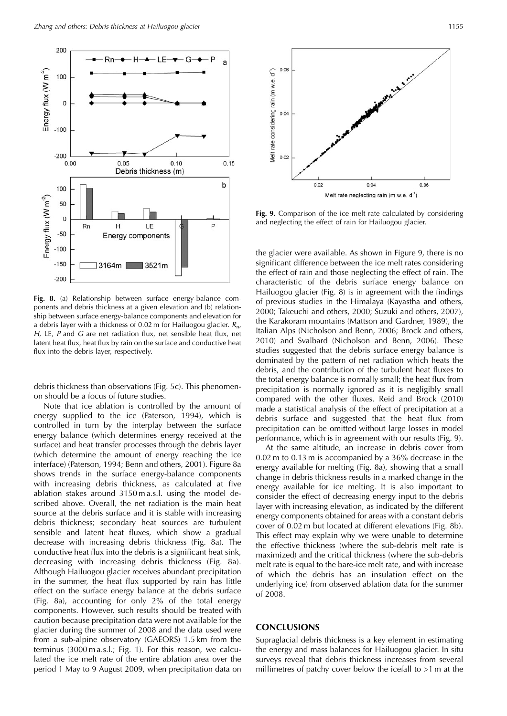

**Fig. 8.** (a) Relationship between surface energy-balance components and debris thickness at a given elevation and (b) relationship between surface energy-balance components and elevation for a debris layer with a thickness of 0.02 m for Hailuogou glacier.  $R_{n}$ , H, LE,  $P$  and  $G$  are net radiation flux, net sensible heat flux, net latent heat flux, heat flux by rain on the surface and conductive heat flux into the debris layer, respectively.

debris thickness than observations (Fig. 5c). This phenomenon should be a focus of future studies.

Note that ice ablation is controlled by the amount of energy supplied to the ice (Paterson, 1994), which is controlled in turn by the interplay between the surface energy balance (which determines energy received at the surface) and heat transfer processes through the debris layer (which determine the amount of energy reaching the ice interface) (Paterson, 1994; Benn and others, 2001). Figure 8a shows trends in the surface energy-balance components with increasing debris thickness, as calculated at five ablation stakes around 3150 m a.s.l. using the model described above. Overall, the net radiation is the main heat source at the debris surface and it is stable with increasing debris thickness; secondary heat sources are turbulent sensible and latent heat fluxes, which show a gradual decrease with increasing debris thickness (Fig. 8a). The conductive heat flux into the debris is a significant heat sink, decreasing with increasing debris thickness (Fig. 8a). Although Hailuogou glacier receives abundant precipitation in the summer, the heat flux supported by rain has little effect on the surface energy balance at the debris surface (Fig. 8a), accounting for only 2% of the total energy components. However, such results should be treated with caution because precipitation data were not available for the glacier during the summer of 2008 and the data used were from a sub-alpine observatory (GAEORS) 1.5 km from the terminus (3000 m a.s.l.; Fig. 1). For this reason, we calculated the ice melt rate of the entire ablation area over the period 1 May to 9 August 2009, when precipitation data on



**Fig. 9.** Comparison of the ice melt rate calculated by considering and neglecting the effect of rain for Hailuogou glacier.

the glacier were available. As shown in Figure 9, there is no significant difference between the ice melt rates considering the effect of rain and those neglecting the effect of rain. The characteristic of the debris surface energy balance on Hailuogou glacier (Fig. 8) is in agreement with the findings of previous studies in the Himalaya (Kayastha and others, 2000; Takeuchi and others, 2000; Suzuki and others, 2007), the Karakoram mountains (Mattson and Gardner, 1989), the Italian Alps (Nicholson and Benn, 2006; Brock and others, 2010) and Svalbard (Nicholson and Benn, 2006). These studies suggested that the debris surface energy balance is dominated by the pattern of net radiation which heats the debris, and the contribution of the turbulent heat fluxes to the total energy balance is normally small; the heat flux from precipitation is normally ignored as it is negligibly small compared with the other fluxes. Reid and Brock (2010) made a statistical analysis of the effect of precipitation at a debris surface and suggested that the heat flux from precipitation can be omitted without large losses in model performance, which is in agreement with our results (Fig. 9).

At the same altitude, an increase in debris cover from 0.02 m to 0.13 m is accompanied by a 36% decrease in the energy available for melting (Fig. 8a), showing that a small change in debris thickness results in a marked change in the energy available for ice melting. It is also important to consider the effect of decreasing energy input to the debris layer with increasing elevation, as indicated by the different energy components obtained for areas with a constant debris cover of 0.02 m but located at different elevations (Fig. 8b). This effect may explain why we were unable to determine the effective thickness (where the sub-debris melt rate is maximized) and the critical thickness (where the sub-debris melt rate is equal to the bare-ice melt rate, and with increase of which the debris has an insulation effect on the underlying ice) from observed ablation data for the summer of 2008.

## **CONCLUSIONS**

Supraglacial debris thickness is a key element in estimating the energy and mass balances for Hailuogou glacier. In situ surveys reveal that debris thickness increases from several millimetres of patchy cover below the icefall to >1 m at the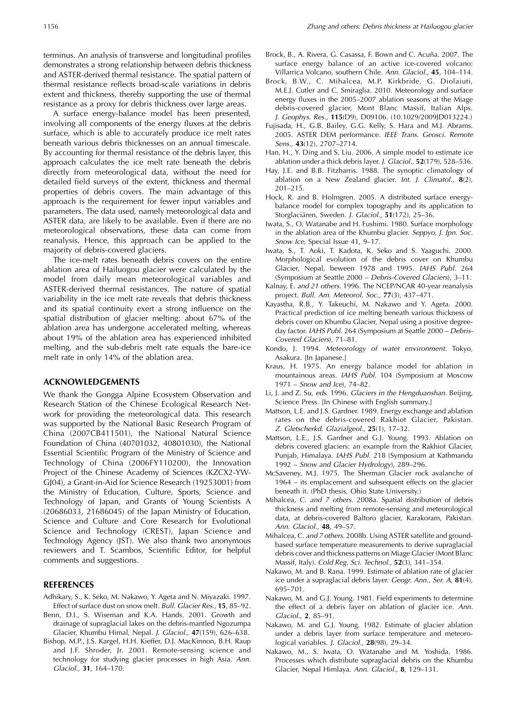terminus. An analysis of transverse and longitudinal profiles demonstrates a strong relationship between debris thickness and ASTER-derived thermal resistance. The spatial pattern of thermal resistance reflects broad-scale variations in debris extent and thickness, thereby supporting the use of thermal resistance as a proxy for debris thickness over large areas.

A surface energy-balance model has been presented, involving all components of the energy fluxes at the debris surface, which is able to accurately produce ice melt rates beneath various debris thicknesses on an annual timescale. By accounting for thermal resistance of the debris layer, this approach calculates the ice melt rate beneath the debris directly from meteorological data, without the need for detailed field surveys of the extent, thickness and thermal properties of debris covers. The main advantage of this approach is the requirement for fewer input variables and parameters. The data used, namely meteorological data and ASTER data, are likely to be available. Even if there are no meteorological observations, these data can come from reanalysis. Hence, this approach can be applied to the majority of debris-covered glaciers.

The ice-melt rates beneath debris covers on the entire ablation area of Hailuogou glacier were calculated by the model from daily mean meteorological variables and ASTER-derived thermal resistances. The nature of spatial variability in the ice melt rate reveals that debris thickness and its spatial continuity exert a strong influence on the spatial distribution of glacier melting: about 67% of the ablation area has undergone accelerated melting, whereas about 19% of the ablation area has experienced inhibited melting, and the sub-debris melt rate equals the bare-ice melt rate in only 14% of the ablation area.

## **ACKNOWLEDGEMENTS**

We thank the Gongga Alpine Ecosystem Observation and Research Station of the Chinese Ecological Research Network for providing the meteorological data. This research was supported by the National Basic Research Program of China (2007CB411501), the National Natural Science Foundation of China (40701032, 40801030), the National Essential Scientific Program of the Ministry of Science and Technology of China (2006FY110200), the Innovation Project of the Chinese Academy of Sciences (KZCX2-YW-GJ04), a Grant-in-Aid for Science Research (19253001) from the Ministry of Education, Culture, Sports, Science and Technology of Japan, and Grants of Young Scientists A (20686033, 21686045) of the Japan Ministry of Education, Science and Culture and Core Research for Evolutional Science and Technology (CREST), Japan Science and Technology Agency (JST). We also thank two anonymous reviewers and T. Scambos, Scientific Editor, for helpful comments and suggestions.

## **REFERENCES**

- Adhikary, S., K. Seko, M. Nakawo, Y. Ageta and N. Miyazaki. 1997. Effect of surface dust on snow melt. Bull. Glacier Res., **15**, 85–92.
- Benn, D.I., S. Wiseman and K.A. Hands. 2001. Growth and drainage of supraglacial lakes on the debris-mantled Ngozumpa Glacier, Khumbu Himal, Nepal. J. Glaciol., **47**(159), 626–638.
- Bishop, M.P., J.S. Kargel, H.H. Kieffer, D.J. MacKinnon, B.H. Raup and J.F. Shroder, Jr. 2001. Remote-sensing science and technology for studying glacier processes in high Asia. Ann. Glaciol., **31**, 164–170.
- Brock, B., A. Rivera, G. Casassa, F. Bown and C. Acuña. 2007. The surface energy balance of an active ice-covered volcano: Villarrica Volcano, southern Chile. Ann. Glaciol., **45**, 104–114.
- Brock, B.W., C. Mihalcea, M.P. Kirkbride, G. Diolaiuti, M.E.J. Cutler and C. Smiraglia. 2010. Meteorology and surface energy fluxes in the 2005–2007 ablation seasons at the Miage debris-covered glacier, Mont Blanc Massif, Italian Alps. J. Geophys. Res., **115**(D9), D09106. (10.1029/2009JD013224.)
- Fujisada, H., G.B. Bailey, G.G. Kelly, S. Hara and M.J. Abrams. 2005. ASTER DEM performance. IEEE Trans. Geosci. Remote Sens., **43**(12), 2707–2714.
- Han, H., Y. Ding and S. Liu. 2006. A simple model to estimate ice ablation under a thick debris layer. J. Glaciol., **52**(179), 528–536.
- Hay, J.E. and B.B. Fitzharris. 1988. The synoptic climatology of ablation on a New Zealand glacier. Int. J. Climatol., **8**(2), 201–215.
- Hock, R. and B. Holmgren. 2005. A distributed surface energybalance model for complex topography and its application to Storglacia¨ren, Sweden. J. Glaciol., **51**(172), 25–36.
- Iwata, S., O. Watanabe and H. Fushimi. 1980. Surface morphology in the ablation area of the Khumbu glacier. Seppyo, J. Jpn. Soc. Snow Ice, Special Issue 41, 9–17.
- Iwata, S., T. Aoki, T. Kadota, K. Seko and S. Yaaguchi. 2000. Morphological evolution of the debris cover on Khumbu Glacier, Nepal, beween 1978 and 1995. IAHS Publ. 264 (Symposium at Seattle 2000 – Debris-Covered Glaciers), 3–11.
- Kalnay, E. and 21 others. 1996. The NCEP/NCAR 40-year reanalysis project. Bull. Am. Meteorol. Soc., **77**(3), 437–471.
- Kayastha, R.B., Y. Takeuchi, M. Nakawo and Y. Ageta. 2000. Practical prediction of ice melting beneath various thickness of debris cover on Khumbu Glacier, Nepal using a positive degreeday factor. IAHS Publ. 264 (Symposium at Seattle 2000 – Debris-Covered Glaciers), 71–81.
- Kondo, J. 1994. Meteorology of water environment. Tokyo, Asakura. [In Japanese.]
- Kraus, H. 1975. An energy balance model for ablation in mountainous areas. IAHS Publ. 104 (Symposium at Moscow 1971 – Snow and Ice), 74–82.
- Li, J. and Z. Su, eds. 1996. Glaciers in the Hengduanshan. Beijing, Science Press. [In Chinese with English summary.]
- Mattson, L.E. and J.S. Gardner. 1989. Energy exchange and ablation rates on the debris-covered Rakhiot Glacier, Pakistan. Z. Gletscherkd. Glazialgeol., **25**(1), 17–32.
- Mattson, L.E., J.S. Gardner and G.J. Young. 1993. Ablation on debris covered glaciers: an example from the Rakhiot Glacier, Punjab, Himalaya. IAHS Publ. 218 (Symposium at Kathmandu 1992 – Snow and Glacier Hydrology), 289–296.
- McSaveney, M.J. 1975. The Sherman Glacier rock avalanche of 1964 – its emplacement and subsequent effects on the glacier beneath it. (PhD thesis, Ohio State University.)
- Mihalcea, C. and 7 others. 2008a. Spatial distribution of debris thickness and melting from remote-sensing and meteorological data, at debris-covered Baltoro glacier, Karakoram, Pakistan. Ann. Glaciol., **48**, 49–57.
- Mihalcea, C. and 7 others. 2008b. Using ASTER satellite and groundbased surface temperature measurements to derive supraglacial debris cover and thickness patterns on Miage Glacier (Mont Blanc Massif, Italy). Cold Reg. Sci. Technol., **52**(3), 341–354.
- Nakawo, M. and B. Rana. 1999. Estimate of ablation rate of glacier ice under a supraglacial debris layer. Geogr. Ann., Ser. A, **81**(4), 695–701.
- Nakawo, M. and G.J. Young. 1981. Field experiments to determine the effect of a debris layer on ablation of glacier ice. Ann. Glaciol., **2**, 85–91.
- Nakawo, M. and G.J. Young. 1982. Estimate of glacier ablation under a debris layer from surface temperature and meteorological variables. J. Glaciol., **28**(98), 29–34.
- Nakawo, M., S. Iwata, O. Watanabe and M. Yoshida. 1986. Processes which distribute supraglacial debris on the Khumbu Glacier, Nepal Himlaya. Ann. Glaciol., **8**, 129–131.